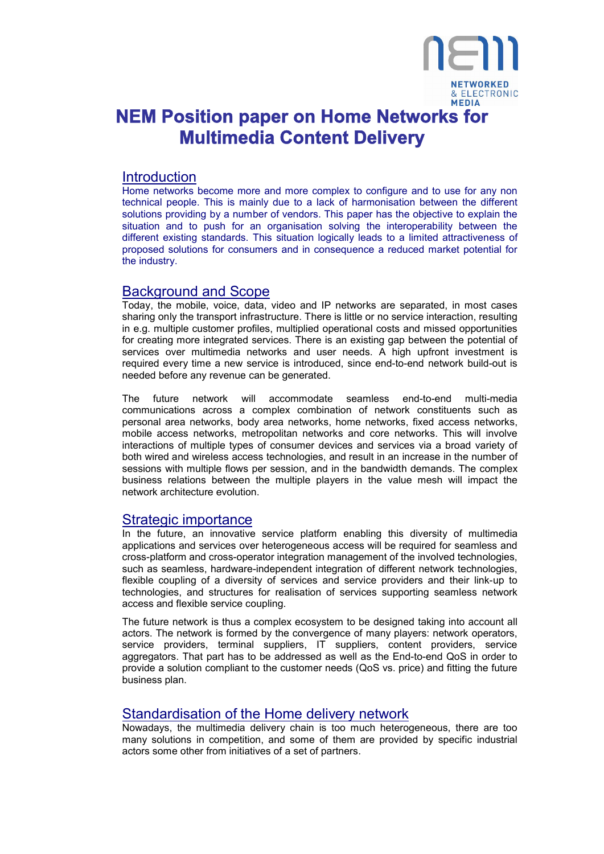

# **NEM Position paper on Home Networks for Multimedia Content Delivery**

# **Introduction**

Home networks become more and more complex to configure and to use for any non technical people. This is mainly due to a lack of harmonisation between the different solutions providing by a number of vendors. This paper has the objective to explain the situation and to push for an organisation solving the interoperability between the different existing standards. This situation logically leads to a limited attractiveness of proposed solutions for consumers and in consequence a reduced market potential for the industry.

### Background and Scope

Today, the mobile, voice, data, video and IP networks are separated, in most cases sharing only the transport infrastructure. There is little or no service interaction, resulting in e.g. multiple customer profiles, multiplied operational costs and missed opportunities for creating more integrated services. There is an existing gap between the potential of services over multimedia networks and user needs. A high upfront investment is required every time a new service is introduced, since end-to-end network build-out is needed before any revenue can be generated.

The future network will accommodate seamless end-to-end multi-media communications across a complex combination of network constituents such as personal area networks, body area networks, home networks, fixed access networks, mobile access networks, metropolitan networks and core networks. This will involve interactions of multiple types of consumer devices and services via a broad variety of both wired and wireless access technologies, and result in an increase in the number of sessions with multiple flows per session, and in the bandwidth demands. The complex business relations between the multiple players in the value mesh will impact the network architecture evolution.

### Strategic importance

In the future, an innovative service platform enabling this diversity of multimedia applications and services over heterogeneous access will be required for seamless and cross-platform and cross-operator integration management of the involved technologies, such as seamless, hardware-independent integration of different network technologies, flexible coupling of a diversity of services and service providers and their link-up to technologies, and structures for realisation of services supporting seamless network access and flexible service coupling.

The future network is thus a complex ecosystem to be designed taking into account all actors. The network is formed by the convergence of many players: network operators, service providers, terminal suppliers, IT suppliers, content providers, service aggregators. That part has to be addressed as well as the End-to-end QoS in order to provide a solution compliant to the customer needs (QoS vs. price) and fitting the future business plan.

### Standardisation of the Home delivery network

Nowadays, the multimedia delivery chain is too much heterogeneous, there are too many solutions in competition, and some of them are provided by specific industrial actors some other from initiatives of a set of partners.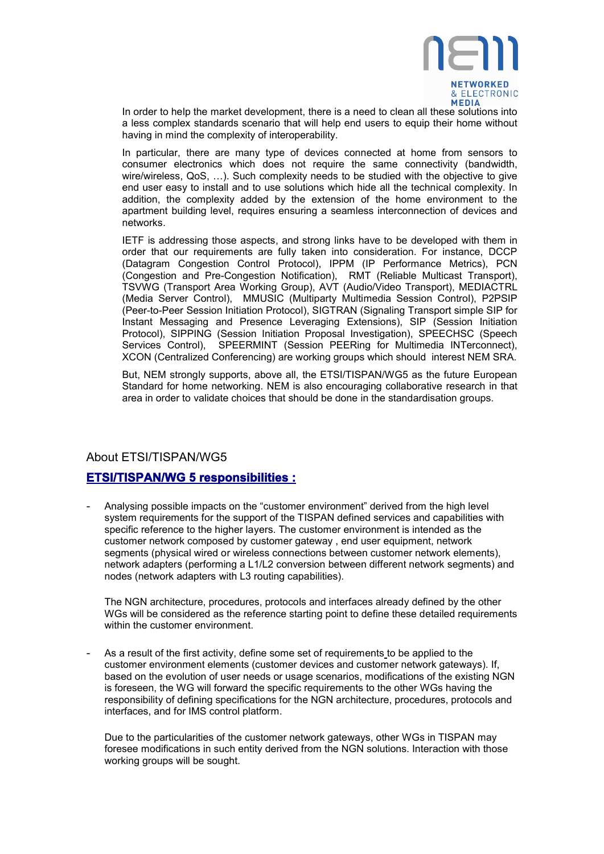

In order to help the market development, there is a need to clean all these solutions into a less complex standards scenario that will help end users to equip their home without having in mind the complexity of interoperability.

In particular, there are many type of devices connected at home from sensors to consumer electronics which does not require the same connectivity (bandwidth, wire/wireless, QoS, …). Such complexity needs to be studied with the objective to give end user easy to install and to use solutions which hide all the technical complexity. In addition, the complexity added by the extension of the home environment to the apartment building level, requires ensuring a seamless interconnection of devices and networks.

IETF is addressing those aspects, and strong links have to be developed with them in order that our requirements are fully taken into consideration. For instance, DCCP (Datagram Congestion Control Protocol), IPPM (IP Performance Metrics), PCN (Congestion and Pre-Congestion Notification), RMT (Reliable Multicast Transport), TSVWG (Transport Area Working Group), AVT (Audio/Video Transport), MEDIACTRL (Media Server Control), MMUSIC (Multiparty Multimedia Session Control), P2PSIP (Peer-to-Peer Session Initiation Protocol), SIGTRAN (Signaling Transport simple SIP for Instant Messaging and Presence Leveraging Extensions), SIP (Session Initiation Protocol), SIPPING (Session Initiation Proposal Investigation), SPEECHSC (Speech Services Control), SPEERMINT (Session PEERing for Multimedia INTerconnect), XCON (Centralized Conferencing) are working groups which should interest NEM SRA.

But, NEM strongly supports, above all, the ETSI/TISPAN/WG5 as the future European Standard for home networking. NEM is also encouraging collaborative research in that area in order to validate choices that should be done in the standardisation groups.

### About ETSI/TISPAN/WG5

### **ETSI/TISPAN/WG 5 responsibilities :**

- Analysing possible impacts on the "customer environment" derived from the high level system requirements for the support of the TISPAN defined services and capabilities with specific reference to the higher layers. The customer environment is intended as the customer network composed by customer gateway , end user equipment, network segments (physical wired or wireless connections between customer network elements), network adapters (performing a L1/L2 conversion between different network segments) and nodes (network adapters with L3 routing capabilities).

The NGN architecture, procedures, protocols and interfaces already defined by the other WGs will be considered as the reference starting point to define these detailed requirements within the customer environment.

As a result of the first activity, define some set of requirements to be applied to the customer environment elements (customer devices and customer network gateways). If, based on the evolution of user needs or usage scenarios, modifications of the existing NGN is foreseen, the WG will forward the specific requirements to the other WGs having the responsibility of defining specifications for the NGN architecture, procedures, protocols and interfaces, and for IMS control platform.

Due to the particularities of the customer network gateways, other WGs in TISPAN may foresee modifications in such entity derived from the NGN solutions. Interaction with those working groups will be sought.